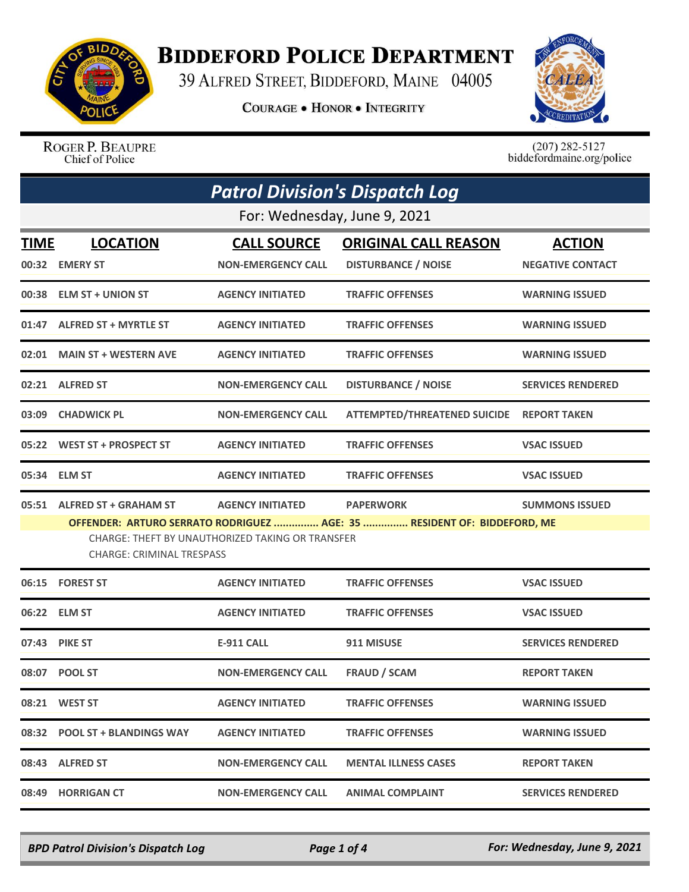

## **BIDDEFORD POLICE DEPARTMENT**

39 ALFRED STREET, BIDDEFORD, MAINE 04005

**COURAGE . HONOR . INTEGRITY** 



ROGER P. BEAUPRE Chief of Police

 $(207)$  282-5127<br>biddefordmaine.org/police

|       | <b>Patrol Division's Dispatch Log</b><br>For: Wednesday, June 9, 2021 |                                                                             |                                                                                             |                          |  |
|-------|-----------------------------------------------------------------------|-----------------------------------------------------------------------------|---------------------------------------------------------------------------------------------|--------------------------|--|
|       |                                                                       |                                                                             |                                                                                             |                          |  |
| TIME  | <b>LOCATION</b>                                                       | <b>CALL SOURCE</b>                                                          | <b>ORIGINAL CALL REASON</b>                                                                 | <b>ACTION</b>            |  |
|       | 00:32 EMERY ST                                                        | <b>NON-EMERGENCY CALL</b>                                                   | <b>DISTURBANCE / NOISE</b>                                                                  | <b>NEGATIVE CONTACT</b>  |  |
|       | 00:38 ELM ST + UNION ST                                               | <b>AGENCY INITIATED</b>                                                     | <b>TRAFFIC OFFENSES</b>                                                                     | <b>WARNING ISSUED</b>    |  |
|       | 01:47 ALFRED ST + MYRTLE ST                                           | <b>AGENCY INITIATED</b>                                                     | <b>TRAFFIC OFFENSES</b>                                                                     | <b>WARNING ISSUED</b>    |  |
|       | 02:01 MAIN ST + WESTERN AVE                                           | <b>AGENCY INITIATED</b>                                                     | <b>TRAFFIC OFFENSES</b>                                                                     | <b>WARNING ISSUED</b>    |  |
|       | 02:21 ALFRED ST                                                       | <b>NON-EMERGENCY CALL</b>                                                   | <b>DISTURBANCE / NOISE</b>                                                                  | <b>SERVICES RENDERED</b> |  |
|       | 03:09 CHADWICK PL                                                     | <b>NON-EMERGENCY CALL</b>                                                   | ATTEMPTED/THREATENED SUICIDE REPORT TAKEN                                                   |                          |  |
|       | 05:22 WEST ST + PROSPECT ST                                           | <b>AGENCY INITIATED</b>                                                     | <b>TRAFFIC OFFENSES</b>                                                                     | <b>VSAC ISSUED</b>       |  |
|       | 05:34 ELM ST                                                          | <b>AGENCY INITIATED</b>                                                     | <b>TRAFFIC OFFENSES</b>                                                                     | <b>VSAC ISSUED</b>       |  |
|       | 05:51 ALFRED ST + GRAHAM ST<br><b>CHARGE: CRIMINAL TRESPASS</b>       | <b>AGENCY INITIATED</b><br>CHARGE: THEFT BY UNAUTHORIZED TAKING OR TRANSFER | <b>PAPERWORK</b><br>OFFENDER: ARTURO SERRATO RODRIGUEZ  AGE: 35  RESIDENT OF: BIDDEFORD, ME | <b>SUMMONS ISSUED</b>    |  |
|       | 06:15 FOREST ST                                                       | <b>AGENCY INITIATED</b>                                                     | <b>TRAFFIC OFFENSES</b>                                                                     | <b>VSAC ISSUED</b>       |  |
|       | 06:22 ELM ST                                                          | <b>AGENCY INITIATED</b>                                                     | <b>TRAFFIC OFFENSES</b>                                                                     | <b>VSAC ISSUED</b>       |  |
|       | 07:43 PIKE ST                                                         | <b>E-911 CALL</b>                                                           | 911 MISUSE                                                                                  | <b>SERVICES RENDERED</b> |  |
|       | 08:07 POOL ST                                                         | <b>NON-EMERGENCY CALL</b>                                                   | <b>FRAUD / SCAM</b>                                                                         | <b>REPORT TAKEN</b>      |  |
|       | 08:21 WEST ST                                                         | <b>AGENCY INITIATED</b>                                                     | <b>TRAFFIC OFFENSES</b>                                                                     | <b>WARNING ISSUED</b>    |  |
|       | 08:32 POOL ST + BLANDINGS WAY                                         | <b>AGENCY INITIATED</b>                                                     | <b>TRAFFIC OFFENSES</b>                                                                     | <b>WARNING ISSUED</b>    |  |
|       | 08:43 ALFRED ST                                                       | <b>NON-EMERGENCY CALL</b>                                                   | <b>MENTAL ILLNESS CASES</b>                                                                 | <b>REPORT TAKEN</b>      |  |
| 08:49 | <b>HORRIGAN CT</b>                                                    | <b>NON-EMERGENCY CALL</b>                                                   | <b>ANIMAL COMPLAINT</b>                                                                     | <b>SERVICES RENDERED</b> |  |

*BPD Patrol Division's Dispatch Log Page 1 of 4 For: Wednesday, June 9, 2021*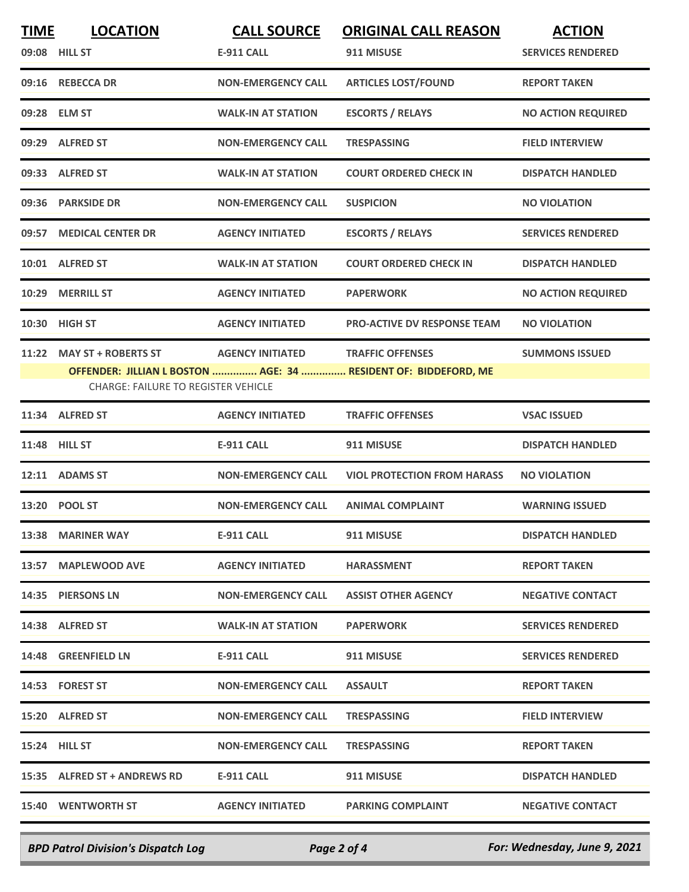| <b>TIME</b> | <b>LOCATION</b>                            | <b>CALL SOURCE</b>        | <b>ORIGINAL CALL REASON</b>                                     | <b>ACTION</b>             |
|-------------|--------------------------------------------|---------------------------|-----------------------------------------------------------------|---------------------------|
|             | 09:08 HILL ST                              | <b>E-911 CALL</b>         | 911 MISUSE                                                      | <b>SERVICES RENDERED</b>  |
|             | 09:16 REBECCA DR                           | <b>NON-EMERGENCY CALL</b> | <b>ARTICLES LOST/FOUND</b>                                      | <b>REPORT TAKEN</b>       |
|             | 09:28 ELM ST                               | <b>WALK-IN AT STATION</b> | <b>ESCORTS / RELAYS</b>                                         | <b>NO ACTION REQUIRED</b> |
|             | 09:29 ALFRED ST                            | <b>NON-EMERGENCY CALL</b> | <b>TRESPASSING</b>                                              | <b>FIELD INTERVIEW</b>    |
|             | 09:33 ALFRED ST                            | <b>WALK-IN AT STATION</b> | <b>COURT ORDERED CHECK IN</b>                                   | <b>DISPATCH HANDLED</b>   |
|             | 09:36 PARKSIDE DR                          | <b>NON-EMERGENCY CALL</b> | <b>SUSPICION</b>                                                | <b>NO VIOLATION</b>       |
|             | 09:57 MEDICAL CENTER DR                    | <b>AGENCY INITIATED</b>   | <b>ESCORTS / RELAYS</b>                                         | <b>SERVICES RENDERED</b>  |
|             | 10:01 ALFRED ST                            | <b>WALK-IN AT STATION</b> | <b>COURT ORDERED CHECK IN</b>                                   | <b>DISPATCH HANDLED</b>   |
| 10:29       | <b>MERRILL ST</b>                          | <b>AGENCY INITIATED</b>   | <b>PAPERWORK</b>                                                | <b>NO ACTION REQUIRED</b> |
|             | 10:30 HIGH ST                              | <b>AGENCY INITIATED</b>   | <b>PRO-ACTIVE DV RESPONSE TEAM</b>                              | <b>NO VIOLATION</b>       |
| 11:22       | <b>MAY ST + ROBERTS ST</b>                 | <b>AGENCY INITIATED</b>   | <b>TRAFFIC OFFENSES</b>                                         | <b>SUMMONS ISSUED</b>     |
|             |                                            |                           | OFFENDER: JILLIAN L BOSTON  AGE: 34  RESIDENT OF: BIDDEFORD, ME |                           |
|             | <b>CHARGE: FAILURE TO REGISTER VEHICLE</b> |                           |                                                                 |                           |
| 11:34       | <b>ALFRED ST</b>                           | <b>AGENCY INITIATED</b>   | <b>TRAFFIC OFFENSES</b>                                         | <b>VSAC ISSUED</b>        |
|             | 11:48 HILL ST                              | <b>E-911 CALL</b>         | 911 MISUSE                                                      | <b>DISPATCH HANDLED</b>   |
| 12:11       | <b>ADAMS ST</b>                            | <b>NON-EMERGENCY CALL</b> | <b>VIOL PROTECTION FROM HARASS</b>                              | <b>NO VIOLATION</b>       |
| 13:20       | <b>POOL ST</b>                             | <b>NON-EMERGENCY CALL</b> | <b>ANIMAL COMPLAINT</b>                                         | <b>WARNING ISSUED</b>     |
|             | 13:38 MARINER WAY                          | E-911 CALL                | 911 MISUSE                                                      | <b>DISPATCH HANDLED</b>   |
|             | 13:57 MAPLEWOOD AVE                        | <b>AGENCY INITIATED</b>   | <b>HARASSMENT</b>                                               | <b>REPORT TAKEN</b>       |
|             | 14:35 PIERSONS LN                          | <b>NON-EMERGENCY CALL</b> | <b>ASSIST OTHER AGENCY</b>                                      | <b>NEGATIVE CONTACT</b>   |
|             | 14:38 ALFRED ST                            | <b>WALK-IN AT STATION</b> | <b>PAPERWORK</b>                                                | <b>SERVICES RENDERED</b>  |
|             | 14:48 GREENFIELD LN                        | <b>E-911 CALL</b>         | 911 MISUSE                                                      | <b>SERVICES RENDERED</b>  |
|             | 14:53 FOREST ST                            | <b>NON-EMERGENCY CALL</b> | <b>ASSAULT</b>                                                  | <b>REPORT TAKEN</b>       |
|             | 15:20 ALFRED ST                            | <b>NON-EMERGENCY CALL</b> | <b>TRESPASSING</b>                                              | <b>FIELD INTERVIEW</b>    |
|             | <b>15:24 HILL ST</b>                       | <b>NON-EMERGENCY CALL</b> | <b>TRESPASSING</b>                                              | <b>REPORT TAKEN</b>       |
|             | 15:35 ALFRED ST + ANDREWS RD               | E-911 CALL                | 911 MISUSE                                                      | <b>DISPATCH HANDLED</b>   |
|             | <b>15:40 WENTWORTH ST</b>                  | <b>AGENCY INITIATED</b>   | <b>PARKING COMPLAINT</b>                                        | <b>NEGATIVE CONTACT</b>   |
|             |                                            |                           |                                                                 |                           |

*BPD Patrol Division's Dispatch Log Page 2 of 4 For: Wednesday, June 9, 2021*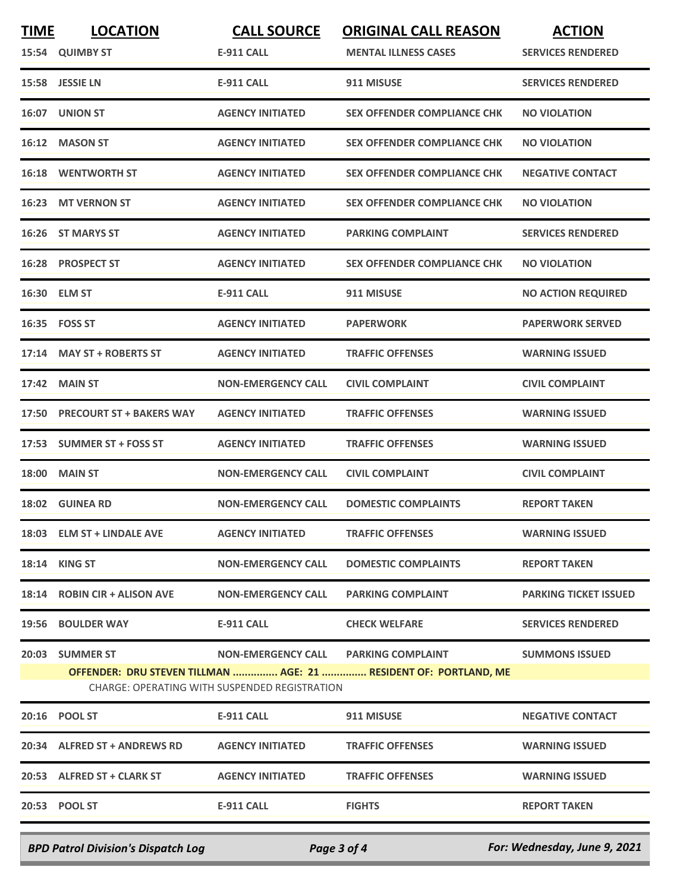| <b>TIME</b> | <b>LOCATION</b><br>15:54 QUIMBY ST | <b>CALL SOURCE</b><br><b>E-911 CALL</b>              | <b>ORIGINAL CALL REASON</b><br><b>MENTAL ILLNESS CASES</b>                                               | <b>ACTION</b><br><b>SERVICES RENDERED</b> |
|-------------|------------------------------------|------------------------------------------------------|----------------------------------------------------------------------------------------------------------|-------------------------------------------|
| 15:58       | <b>JESSIE LN</b>                   | <b>E-911 CALL</b>                                    | 911 MISUSE                                                                                               | <b>SERVICES RENDERED</b>                  |
| 16:07       | <b>UNION ST</b>                    | <b>AGENCY INITIATED</b>                              | <b>SEX OFFENDER COMPLIANCE CHK</b>                                                                       | <b>NO VIOLATION</b>                       |
| 16:12       | <b>MASON ST</b>                    | <b>AGENCY INITIATED</b>                              | <b>SEX OFFENDER COMPLIANCE CHK</b>                                                                       | <b>NO VIOLATION</b>                       |
| 16:18       | <b>WENTWORTH ST</b>                | <b>AGENCY INITIATED</b>                              | <b>SEX OFFENDER COMPLIANCE CHK</b>                                                                       | <b>NEGATIVE CONTACT</b>                   |
| 16:23       | <b>MT VERNON ST</b>                | <b>AGENCY INITIATED</b>                              | <b>SEX OFFENDER COMPLIANCE CHK</b>                                                                       | <b>NO VIOLATION</b>                       |
| 16:26       | <b>ST MARYS ST</b>                 | <b>AGENCY INITIATED</b>                              | <b>PARKING COMPLAINT</b>                                                                                 | <b>SERVICES RENDERED</b>                  |
| 16:28       | <b>PROSPECT ST</b>                 | <b>AGENCY INITIATED</b>                              | <b>SEX OFFENDER COMPLIANCE CHK</b>                                                                       | <b>NO VIOLATION</b>                       |
|             | 16:30 ELM ST                       | <b>E-911 CALL</b>                                    | 911 MISUSE                                                                                               | <b>NO ACTION REQUIRED</b>                 |
|             | 16:35    FOSS ST                   | <b>AGENCY INITIATED</b>                              | <b>PAPERWORK</b>                                                                                         | <b>PAPERWORK SERVED</b>                   |
| 17:14       | <b>MAY ST + ROBERTS ST</b>         | <b>AGENCY INITIATED</b>                              | <b>TRAFFIC OFFENSES</b>                                                                                  | <b>WARNING ISSUED</b>                     |
| 17:42       | <b>MAIN ST</b>                     | <b>NON-EMERGENCY CALL</b>                            | <b>CIVIL COMPLAINT</b>                                                                                   | <b>CIVIL COMPLAINT</b>                    |
| 17:50       | <b>PRECOURT ST + BAKERS WAY</b>    | <b>AGENCY INITIATED</b>                              | <b>TRAFFIC OFFENSES</b>                                                                                  | <b>WARNING ISSUED</b>                     |
| 17:53       | <b>SUMMER ST + FOSS ST</b>         | <b>AGENCY INITIATED</b>                              | <b>TRAFFIC OFFENSES</b>                                                                                  | <b>WARNING ISSUED</b>                     |
| 18:00       | <b>MAIN ST</b>                     | <b>NON-EMERGENCY CALL</b>                            | <b>CIVIL COMPLAINT</b>                                                                                   | <b>CIVIL COMPLAINT</b>                    |
| 18:02       | <b>GUINEA RD</b>                   | <b>NON-EMERGENCY CALL</b>                            | <b>DOMESTIC COMPLAINTS</b>                                                                               | <b>REPORT TAKEN</b>                       |
|             | 18:03 ELM ST + LINDALE AVE         | <b>AGENCY INITIATED</b>                              | <b>TRAFFIC OFFENSES</b>                                                                                  | <b>WARNING ISSUED</b>                     |
|             | 18:14 KING ST                      | <b>NON-EMERGENCY CALL</b>                            | <b>DOMESTIC COMPLAINTS</b>                                                                               | <b>REPORT TAKEN</b>                       |
|             | 18:14 ROBIN CIR + ALISON AVE       | <b>NON-EMERGENCY CALL</b>                            | <b>PARKING COMPLAINT</b>                                                                                 | <b>PARKING TICKET ISSUED</b>              |
|             | 19:56 BOULDER WAY                  | E-911 CALL <b>E-911</b>                              | <b>CHECK WELFARE</b>                                                                                     | <b>SERVICES RENDERED</b>                  |
|             | 20:03 SUMMER ST                    | <b>CHARGE: OPERATING WITH SUSPENDED REGISTRATION</b> | NON-EMERGENCY CALL PARKING COMPLAINT<br>OFFENDER: DRU STEVEN TILLMAN  AGE: 21  RESIDENT OF: PORTLAND, ME | <b>SUMMONS ISSUED</b>                     |
|             | 20:16 POOL ST                      | E-911 CALL                                           | 911 MISUSE                                                                                               | <b>NEGATIVE CONTACT</b>                   |
|             | 20:34 ALFRED ST + ANDREWS RD       | <b>AGENCY INITIATED</b>                              | <b>TRAFFIC OFFENSES</b>                                                                                  | <b>WARNING ISSUED</b>                     |
|             | 20:53 ALFRED ST + CLARK ST         | <b>AGENCY INITIATED</b>                              | <b>TRAFFIC OFFENSES</b>                                                                                  | <b>WARNING ISSUED</b>                     |
|             | 20:53 POOL ST                      | E-911 CALL                                           | <b>FIGHTS</b>                                                                                            | <b>REPORT TAKEN</b>                       |
|             |                                    |                                                      |                                                                                                          |                                           |

*BPD Patrol Division's Dispatch Log Page 3 of 4 For: Wednesday, June 9, 2021*